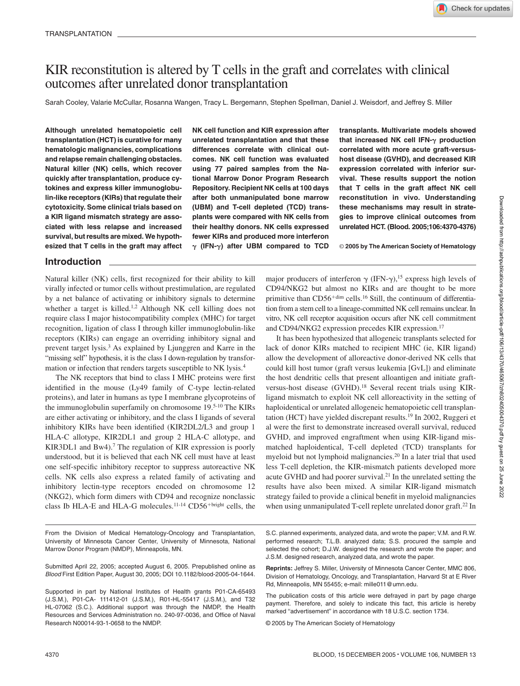# KIR reconstitution is altered by T cells in the graft and correlates with clinical outcomes after unrelated donor transplantation

Sarah Cooley, Valarie McCullar, Rosanna Wangen, Tracy L. Bergemann, Stephen Spellman, Daniel J. Weisdorf, and Jeffrey S. Miller

**Although unrelated hematopoietic cell transplantation (HCT) is curative for many hematologic malignancies, complications and relapse remain challenging obstacles. Natural killer (NK) cells, which recover quickly after transplantation, produce cytokines and express killer immunoglobulin-like receptors (KIRs) that regulate their cytotoxicity. Some clinical trials based on a KIR ligand mismatch strategy are associated with less relapse and increased survival, but results are mixed. We hypothesized that T cells in the graft may affect** **NK cell function and KIR expression after unrelated transplantation and that these differences correlate with clinical outcomes. NK cell function was evaluated using 77 paired samples from the National Marrow Donor Program Research Repository. Recipient NK cells at 100 days after both unmanipulated bone marrow (UBM) and T-cell depleted (TCD) transplants were compared with NK cells from their healthy donors. NK cells expressed fewer KIRs and produced more interferon (IFN-) after UBM compared to TCD** **transplants. Multivariate models showed** that increased NK cell IFN- $\gamma$  production **correlated with more acute graft-versushost disease (GVHD), and decreased KIR expression correlated with inferior survival. These results support the notion that T cells in the graft affect NK cell reconstitution in vivo. Understanding these mechanisms may result in strategies to improve clinical outcomes from unrelated HCT. (Blood. 2005;106:4370-4376)**

© **2005 by The American Society of Hematology**

# **Introduction**

Natural killer (NK) cells, first recognized for their ability to kill virally infected or tumor cells without prestimulation, are regulated by a net balance of activating or inhibitory signals to determine whether a target is killed.<sup>1,2</sup> Although NK cell killing does not require class I major histocompatibility complex (MHC) for target recognition, ligation of class I through killer immunoglobulin-like receptors (KIRs) can engage an overriding inhibitory signal and prevent target lysis.3 As explained by Ljunggren and Karre in the "missing self" hypothesis, it is the class I down-regulation by transformation or infection that renders targets susceptible to NK lysis.4

The NK receptors that bind to class I MHC proteins were first identified in the mouse (Ly49 family of C-type lectin-related proteins), and later in humans as type I membrane glycoproteins of the immunoglobulin superfamily on chromosome 19.5-10 The KIRs are either activating or inhibitory, and the class I ligands of several inhibitory KIRs have been identified (KIR2DL2/L3 and group 1 HLA-C allotype, KIR2DL1 and group 2 HLA-C allotype, and KIR3DL1 and Bw4).<sup>7</sup> The regulation of KIR expression is poorly understood, but it is believed that each NK cell must have at least one self-specific inhibitory receptor to suppress autoreactive NK cells. NK cells also express a related family of activating and inhibitory lectin-type receptors encoded on chromosome 12 (NKG2), which form dimers with CD94 and recognize nonclassic class Ib HLA-E and HLA-G molecules.<sup>11-14</sup> CD56<sup>+bright</sup> cells, the

major producers of interferon  $\gamma$  (IFN- $\gamma$ ),<sup>15</sup> express high levels of CD94/NKG2 but almost no KIRs and are thought to be more primitive than CD56<sup>+dim</sup> cells.<sup>16</sup> Still, the continuum of differentiation from a stem cell to a lineage-committed NK cell remains unclear. In vitro, NK cell receptor acquisition occurs after NK cell commitment and CD94/NKG2 expression precedes KIR expression.17

It has been hypothesized that allogeneic transplants selected for lack of donor KIRs matched to recipient MHC (ie, KIR ligand) allow the development of alloreactive donor-derived NK cells that could kill host tumor (graft versus leukemia [GvL]) and eliminate the host dendritic cells that present alloantigen and initiate graftversus-host disease (GVHD).<sup>18</sup> Several recent trials using KIRligand mismatch to exploit NK cell alloreactivity in the setting of haploidentical or unrelated allogeneic hematopoietic cell transplantation (HCT) have yielded discrepant results.19 In 2002, Ruggeri et al were the first to demonstrate increased overall survival, reduced GVHD, and improved engraftment when using KIR-ligand mismatched haploidentical, T-cell depleted (TCD) transplants for myeloid but not lymphoid malignancies.20 In a later trial that used less T-cell depletion, the KIR-mismatch patients developed more acute GVHD and had poorer survival.21 In the unrelated setting the results have also been mixed. A similar KIR-ligand mismatch strategy failed to provide a clinical benefit in myeloid malignancies when using unmanipulated T-cell replete unrelated donor graft.<sup>22</sup> In

From the Division of Medical Hematology-Oncology and Transplantation, University of Minnesota Cancer Center, University of Minnesota, National Marrow Donor Program (NMDP), Minneapolis, MN.

Submitted April 22, 2005; accepted August 6, 2005. Prepublished online as *Blood* First Edition Paper, August 30, 2005; DOI 10.1182/blood-2005-04-1644.

Supported in part by National Institutes of Health grants P01-CA-65493 (J.S.M.), P01-CA- 111412-01 (J.S.M.), R01-HL-55417 (J.S.M.), and T32 HL-07062 (S.C.). Additional support was through the NMDP, the Health Resources and Services Administration no. 240-97-0036, and Office of Naval Research N00014-93-1-0658 to the NMDP.

S.C. planned experiments, analyzed data, and wrote the paper; V.M. and R.W. performed research; T.L.B. analyzed data; S.S. procured the sample and selected the cohort; D.J.W. designed the research and wrote the paper; and J.S.M. designed research, analyzed data, and wrote the paper.

**Reprints:** Jeffrey S. Miller, University of Minnesota Cancer Center, MMC 806, Division of Hematology, Oncology, and Transplantation, Harvard St at E River Rd, Minneapolis, MN 55455; e-mail: mille011@umn.edu.

The publication costs of this article were defrayed in part by page charge payment. Therefore, and solely to indicate this fact, this article is hereby marked "advertisement" in accordance with 18 U.S.C. section 1734.

© 2005 by The American Society of Hematology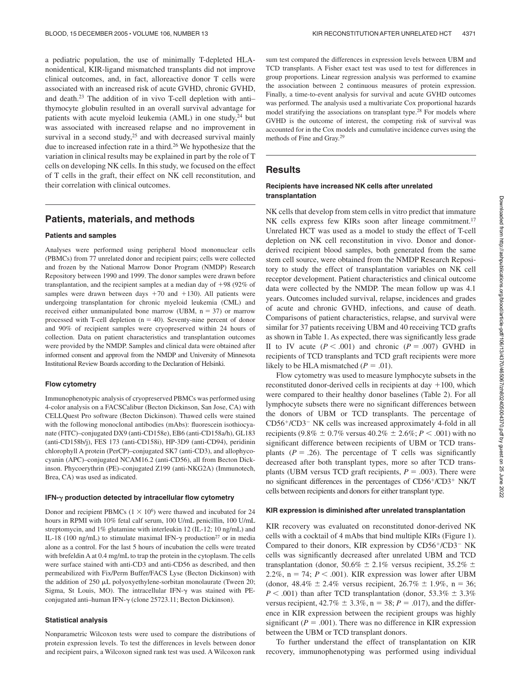a pediatric population, the use of minimally T-depleted HLAnonidentical, KIR-ligand mismatched transplants did not improve clinical outcomes, and, in fact, alloreactive donor T cells were associated with an increased risk of acute GVHD, chronic GVHD, and death.23 The addition of in vivo T-cell depletion with anti– thymocyte globulin resulted in an overall survival advantage for patients with acute myeloid leukemia (AML) in one study,<sup>24</sup> but was associated with increased relapse and no improvement in survival in a second study,<sup>25</sup> and with decreased survival mainly due to increased infection rate in a third.26 We hypothesize that the variation in clinical results may be explained in part by the role of T cells on developing NK cells. In this study, we focused on the effect of T cells in the graft, their effect on NK cell reconstitution, and their correlation with clinical outcomes.

# **Patients, materials, and methods**

#### **Patients and samples**

Analyses were performed using peripheral blood mononuclear cells (PBMCs) from 77 unrelated donor and recipient pairs; cells were collected and frozen by the National Marrow Donor Program (NMDP) Research Repository between 1990 and 1999. The donor samples were drawn before transplantation, and the recipient samples at a median day of  $+98$  (92% of samples were drawn between days  $+70$  and  $+130$ ). All patients were undergoing transplantation for chronic myeloid leukemia (CML) and received either unmanipulated bone marrow (UBM,  $n = 37$ ) or marrow processed with T-cell depletion  $(n = 40)$ . Seventy-nine percent of donor and 90% of recipient samples were cryopreserved within 24 hours of collection. Data on patient characteristics and transplantation outcomes were provided by the NMDP. Samples and clinical data were obtained after informed consent and approval from the NMDP and University of Minnesota Institutional Review Boards according to the Declaration of Helsinki.

#### **Flow cytometry**

Immunophenotypic analysis of cryopreserved PBMCs was performed using 4-color analysis on a FACSCalibur (Becton Dickinson, San Jose, CA) with CELLQuest Pro software (Becton Dickinson). Thawed cells were stained with the following monoclonal antibodies (mAbs): fluorescein isothiocyanate (FITC)–conjugated DX9 (anti-CD158e), EB6 (anti-CD158a/h), GL183 (anti-CD158b/j), FES 173 (anti-CD158i), HP-3D9 (anti-CD94), peridinin chlorophyll A protein (PerCP)–conjugated SK7 (anti-CD3), and allophycocyanin (APC)–conjugated NCAM16.2 (anti-CD56), all from Becton Dickinson. Phycoerythrin (PE)–conjugated Z199 (anti-NKG2A) (Immunotech, Brea, CA) was used as indicated.

#### **IFN-** $\gamma$  production detected by intracellular flow cytometry

Donor and recipient PBMCs  $(1 \times 10^6)$  were thawed and incubated for 24 hours in RPMI with 10% fetal calf serum, 100 U/mL penicillin, 100 U/mL streptomycin, and 1% glutamine with interleukin 12 (IL-12; 10 ng/mL) and IL-18 (100 ng/mL) to stimulate maximal IFN- $\gamma$  production<sup>27</sup> or in media alone as a control. For the last 5 hours of incubation the cells were treated with brefeldin A at 0.4 mg/mL to trap the protein in the cytoplasm. The cells were surface stained with anti-CD3 and anti-CD56 as described, and then permeabilized with Fix/Perm Buffer/FACS Lyse (Becton Dickinson) with the addition of  $250 \mu L$  polyoxyethylene-sorbitan monolaurate (Tween  $20$ ; Sigma, St Louis, MO). The intracellular IFN- $\gamma$  was stained with PEconjugated anti-human IFN- $\gamma$  (clone 25723.11; Becton Dickinson).

#### **Statistical analysis**

Nonparametric Wilcoxon tests were used to compare the distributions of protein expression levels. To test the differences in levels between donor and recipient pairs, a Wilcoxon signed rank test was used. A Wilcoxon rank sum test compared the differences in expression levels between UBM and TCD transplants. A Fisher exact test was used to test for differences in group proportions. Linear regression analysis was performed to examine the association between 2 continuous measures of protein expression. Finally, a time-to-event analysis for survival and acute GVHD outcomes was performed. The analysis used a multivariate Cox proportional hazards model stratifying the associations on transplant type.28 For models where GVHD is the outcome of interest, the competing risk of survival was accounted for in the Cox models and cumulative incidence curves using the methods of Fine and Gray.29

## **Results**

#### **Recipients have increased NK cells after unrelated transplantation**

NK cells that develop from stem cells in vitro predict that immature NK cells express few KIRs soon after lineage commitment.<sup>17</sup> Unrelated HCT was used as a model to study the effect of T-cell depletion on NK cell reconstitution in vivo. Donor and donorderived recipient blood samples, both generated from the same stem cell source, were obtained from the NMDP Research Repository to study the effect of transplantation variables on NK cell receptor development. Patient characteristics and clinical outcome data were collected by the NMDP. The mean follow up was 4.1 years. Outcomes included survival, relapse, incidences and grades of acute and chronic GVHD, infections, and cause of death. Comparisons of patient characteristics, relapse, and survival were similar for 37 patients receiving UBM and 40 receiving TCD grafts as shown in Table 1. As expected, there was significantly less grade II to IV acute  $(P < .001)$  and chronic  $(P = .007)$  GVHD in recipients of TCD transplants and TCD graft recipients were more likely to be HLA mismatched  $(P = .01)$ .

Flow cytometry was used to measure lymphocyte subsets in the reconstituted donor-derived cells in recipients at day  $+100$ , which were compared to their healthy donor baselines (Table 2). For all lymphocyte subsets there were no significant differences between the donors of UBM or TCD transplants. The percentage of  $CD56^{+}/CD3^{-}$  NK cells was increased approximately 4-fold in all recipients (9.8%  $\pm$  0.7% versus 40.2%  $\pm$  2.6%; *P* < .001) with no significant difference between recipients of UBM or TCD transplants  $(P = .26)$ . The percentage of T cells was significantly decreased after both transplant types, more so after TCD transplants (UBM versus TCD graft recipients,  $P = .003$ ). There were no significant differences in the percentages of CD56+/CD3+ NK/T cells between recipients and donors for either transplant type.

## **KIR expression is diminished after unrelated transplantation**

KIR recovery was evaluated on reconstituted donor-derived NK cells with a cocktail of 4 mAbs that bind multiple KIRs (Figure 1). Compared to their donors, KIR expression by  $CD56^{+}/CD3^{-}$  NK cells was significantly decreased after unrelated UBM and TCD transplantation (donor, 50.6%  $\pm$  2.1% versus recipient, 35.2%  $\pm$ 2.2%,  $n = 74$ ;  $P < .001$ ). KIR expression was lower after UBM (donor,  $48.4\% \pm 2.4\%$  versus recipient,  $26.7\% \pm 1.9\%$ , n = 36;  $P < .001$ ) than after TCD transplantation (donor, 53.3%  $\pm$  3.3% versus recipient,  $42.7\% \pm 3.3\%$ ,  $n = 38$ ;  $P = .017$ ), and the difference in KIR expression between the recipient groups was highly significant ( $P = .001$ ). There was no difference in KIR expression between the UBM or TCD transplant donors.

To further understand the effect of transplantation on KIR recovery, immunophenotyping was performed using individual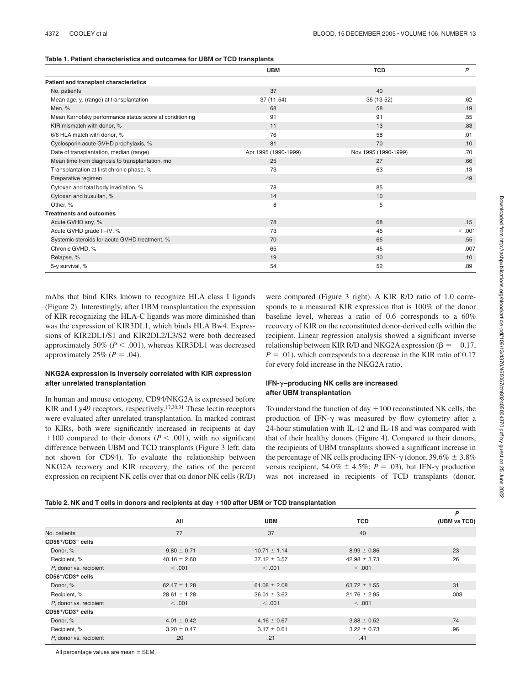|  |  | Table 1. Patient characteristics and outcomes for UBM or TCD transplants |  |  |  |  |  |  |  |
|--|--|--------------------------------------------------------------------------|--|--|--|--|--|--|--|
|--|--|--------------------------------------------------------------------------|--|--|--|--|--|--|--|

|                                                         | <b>UBM</b>           | <b>TCD</b>           | $\mathsf{P}$ |
|---------------------------------------------------------|----------------------|----------------------|--------------|
| Patient and transplant characteristics                  |                      |                      |              |
| No. patients                                            | 37                   | 40                   |              |
| Mean age, y, (range) at transplantation                 | $37(11-54)$          | 35 (13-52)           | .62          |
| Men, %                                                  | 68                   | 58                   | .19          |
| Mean Karnofsky performance status score at conditioning | 91                   | 91                   | .55          |
| KIR mismatch with donor, %                              | 11                   | 13                   | .83          |
| 6/6 HLA match with donor, %                             | 76                   | 58                   | .01          |
| Cyclosporin acute GVHD prophylaxis, %                   | 81                   | 70                   | .10          |
| Date of transplantation, median (range)                 | Apr 1995 (1990-1999) | Nov 1995 (1990-1999) | .70          |
| Mean time from diagnosis to transplantation, mo         | 25                   | 27                   | .66          |
| Transplantation at first chronic phase, %               | 73                   | 63                   | .13          |
| Preparative regimen                                     |                      |                      | .49          |
| Cytoxan and total body irradiation, %                   | 78                   | 85                   |              |
| Cytoxan and busulfan, %                                 | 14                   | 10                   |              |
| Other, %                                                | 8                    | 5                    |              |
| <b>Treatments and outcomes</b>                          |                      |                      |              |
| Acute GVHD any, %                                       | 78                   | 68                   | .15          |
| Acute GVHD grade II-IV, %                               | 73                   | 45                   | <.001        |
| Systemic steroids for acute GVHD treatment, %           | 70                   | 65                   | .55          |
| Chronic GVHD, %                                         | 65                   | 45                   | .007         |
| Relapse, %                                              | 19                   | 30                   | .10          |
| 5-y survival, %                                         | 54                   | 52                   | .89          |

mAbs that bind KIRs known to recognize HLA class I ligands (Figure 2). Interestingly, after UBM transplantation the expression of KIR recognizing the HLA-C ligands was more diminished than was the expression of KIR3DL1, which binds HLA Bw4. Expressions of KIR2DL1/S1 and KIR2DL2/L3/S2 were both decreased approximately 50%  $(P < .001)$ , whereas KIR3DL1 was decreased approximately  $25\%$  ( $P = .04$ ).

## **NKG2A expression is inversely correlated with KIR expression after unrelated transplantation**

In human and mouse ontogeny, CD94/NKG2A is expressed before KIR and Ly49 receptors, respectively.<sup>17,30,31</sup> These lectin receptors were evaluated after unrelated transplantation. In marked contrast to KIRs, both were significantly increased in recipients at day  $+100$  compared to their donors ( $P < .001$ ), with no significant difference between UBM and TCD transplants (Figure 3 left; data not shown for CD94). To evaluate the relationship between NKG2A recovery and KIR recovery, the ratios of the percent expression on recipient NK cells over that on donor NK cells (R/D)

were compared (Figure 3 right). A KIR R/D ratio of 1.0 corresponds to a measured KIR expression that is 100% of the donor baseline level, whereas a ratio of 0.6 corresponds to a 60% recovery of KIR on the reconstituted donor-derived cells within the recipient. Linear regression analysis showed a significant inverse relationship between KIR R/D and NKG2A expression ( $\beta = -0.17$ ,  $P = .01$ ), which corresponds to a decrease in the KIR ratio of 0.17 for every fold increase in the NKG2A ratio.

## **IFN-–producing NK cells are increased after UBM transplantation**

To understand the function of day  $+100$  reconstituted NK cells, the production of IFN- $\gamma$  was measured by flow cytometry after a 24-hour stimulation with IL-12 and IL-18 and was compared with that of their healthy donors (Figure 4). Compared to their donors, the recipients of UBM transplants showed a significant increase in the percentage of NK cells producing IFN- $\gamma$  (donor, 39.6%  $\pm$  3.8%) versus recipient,  $54.0\% \pm 4.5\%$ ;  $P = .03$ ), but IFN- $\gamma$  production was not increased in recipients of TCD transplants (donor,

|  |  |  | Table 2. NK and T cells in donors and recipients at day +100 after UBM or TCD transplantation |
|--|--|--|-----------------------------------------------------------------------------------------------|
|--|--|--|-----------------------------------------------------------------------------------------------|

|                          |                  |                  |                  | P            |
|--------------------------|------------------|------------------|------------------|--------------|
|                          | All              | <b>UBM</b>       | <b>TCD</b>       | (UBM vs TCD) |
| No. patients             | 77               | 37               | 40               |              |
| CD56+/CD3- cells         |                  |                  |                  |              |
| Donor, %                 | $9.80 \pm 0.71$  | $10.71 \pm 1.14$ | $8.99 \pm 0.86$  | .23          |
| Recipient, %             | $40.16 \pm 2.60$ | $37.12 \pm 3.57$ | $42.98 \pm 3.73$ | .26          |
| P, donor vs. recipient   | < .001           | < .001           | < 0.001          |              |
| CD56-/CD3+ cells         |                  |                  |                  |              |
| Donor, %                 | $62.47 \pm 1.28$ | $61.08 \pm 2.08$ | $63.72 \pm 1.55$ | .31          |
| Recipient, %             | $28.61 \pm 1.28$ | $36.01 \pm 3.62$ | $21.76 \pm 2.95$ | .003         |
| P, donor vs. recipient   | < 0.001          | < .001           | < .001           |              |
| $CD56^{+}/CD3^{+}$ cells |                  |                  |                  |              |
| Donor, %                 | $4.01 \pm 0.42$  | $4.16 \pm 0.67$  | $3.88 \pm 0.52$  | .74          |
| Recipient, %             | $3.20 \pm 0.47$  | $3.17 \pm 0.61$  | $3.22 \pm 0.73$  | .96          |
| P, donor vs. recipient   | .20              | .21              | .41              |              |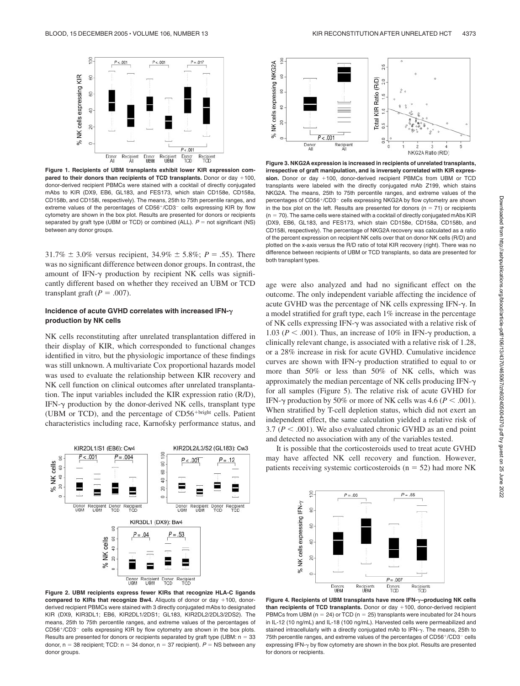

**Figure 1. Recipients of UBM transplants exhibit lower KIR expression compared to their donors than recipients of TCD transplants.** Donor or day +100, donor-derived recipient PBMCs were stained with a cocktail of directly conjugated mAbs to KIR (DX9, EB6, GL183, and FES173, which stain CD158e, CD158a, CD158b, and CD158i, respectively). The means, 25th to 75th percentile ranges, and extreme values of the percentages of CD56+/CD3- cells expressing KIR by flow cytometry are shown in the box plot. Results are presented for donors or recipients separated by graft type (UBM or TCD) or combined (ALL).  $P =$  not significant (NS) between any donor groups.

 $31.7\% \pm 3.0\%$  versus recipient,  $34.9\% \pm 5.8\%$ ; *P* = .55). There was no significant difference between donor groups. In contrast, the amount of IFN-y production by recipient NK cells was significantly different based on whether they received an UBM or TCD transplant graft ( $P = .007$ ).

## **Incidence of acute GVHD correlates with increased IFN production by NK cells**

NK cells reconstituting after unrelated transplantation differed in their display of KIR, which corresponded to functional changes identified in vitro*,* but the physiologic importance of these findings was still unknown. A multivariate Cox proportional hazards model was used to evaluate the relationship between KIR recovery and NK cell function on clinical outcomes after unrelated transplantation. The input variables included the KIR expression ratio (R/D), IFN-y production by the donor-derived NK cells, transplant type (UBM or TCD), and the percentage of  $CD56<sup>+bright</sup>$  cells. Patient characteristics including race, Karnofsky performance status, and



**Figure 2. UBM recipients express fewer KIRs that recognize HLA-C ligands compared to KIRs that recognize Bw4.** Aliquots of donor or day +100, donorderived recipient PBMCs were stained with 3 directly conjugated mAbs to designated KIR (DX9, KIR3DL1; EB6, KIR2DL1/2DS1; GL183, KIR2DL2/2DL3/2DS2). The means, 25th to 75th percentile ranges, and extreme values of the percentages of  $CD56^{+}/CD3^{-}$  cells expressing KIR by flow cytometry are shown in the box plots. Results are presented for donors or recipients separated by graft type (UBM:  $n = 33$ donor,  $n = 38$  recipient; TCD:  $n = 34$  donor,  $n = 37$  recipient).  $P = NS$  between any donor groups.



**Figure 3. NKG2A expression is increased in recipients of unrelated transplants, irrespective of graft manipulation, and is inversely correlated with KIR expression.** Donor or day +100, donor-derived recipient PBMCs from UBM or TCD transplants were labeled with the directly conjugated mAb Z199, which stains NKG2A. The means, 25th to 75th percentile ranges, and extreme values of the percentages of CD56+/CD3<sup>-</sup> cells expressing NKG2A by flow cytometry are shown in the box plot on the left. Results are presented for donors ( $n = 71$ ) or recipients  $(n = 70)$ . The same cells were stained with a cocktail of directly conjugated mAbs KIR (DX9, EB6, GL183, and FES173, which stain CD158e, CD158a, CD158b, and CD158i, respectively). The percentage of NKG2A recovery was calculated as a ratio of the percent expression on recipient NK cells over that on donor NK cells (R/D) and plotted on the x-axis versus the R/D ratio of total KIR recovery (right). There was no difference between recipients of UBM or TCD transplants, so data are presented for both transplant types.

age were also analyzed and had no significant effect on the outcome. The only independent variable affecting the incidence of acute GVHD was the percentage of NK cells expressing IFN- $\gamma$ . In a model stratified for graft type, each 1% increase in the percentage of NK cells expressing IFN- $\gamma$  was associated with a relative risk of 1.03 ( $P < .001$ ). Thus, an increase of 10% in IFN- $\gamma$  production, a clinically relevant change, is associated with a relative risk of 1.28, or a 28% increase in risk for acute GVHD. Cumulative incidence curves are shown with IFN- $\gamma$  production stratified to equal to or more than 50% or less than 50% of NK cells, which was approximately the median percentage of NK cells producing IFN- $\gamma$ for all samples (Figure 5). The relative risk of acute GVHD for IFN- $\gamma$  production by 50% or more of NK cells was 4.6 ( $P < .001$ ). When stratified by T-cell depletion status, which did not exert an independent effect, the same calculation yielded a relative risk of 3.7 ( $P < .001$ ). We also evaluated chronic GVHD as an end point and detected no association with any of the variables tested.

It is possible that the corticosteroids used to treat acute GVHD may have affected NK cell recovery and function. However, patients receiving systemic corticosteroids ( $n = 52$ ) had more NK



**Figure 4. Recipients of UBM transplants have more IFN-–producing NK cells** than recipients of TCD transplants. Donor or day +100, donor-derived recipient PBMCs from UBM ( $n = 24$ ) or TCD ( $n = 25$ ) transplants were incubated for 24 hours in IL-12 (10 ng/mL) and IL-18 (100 ng/mL). Harvested cells were permeabilized and stained intracellularly with a directly conjugated mAb to IFN--. The means, 25th to 75th percentile ranges, and extreme values of the percentages of CD56+/CD3<sup>-</sup> cells expressing IFN- $\gamma$  by flow cytometry are shown in the box plot. Results are presented for donors or recipients.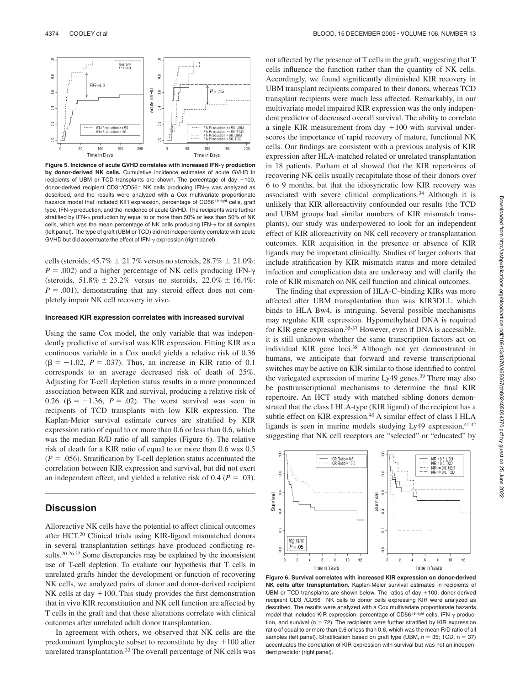

Figure 5. Incidence of acute GVHD correlates with increased IFN- $\gamma$  production **by donor-derived NK cells.** Cumulative incidence estimates of acute GVHD in recipients of UBM or TCD transplants are shown. The percentage of day  $+100$ , donor-derived recipient CD3<sup>-</sup>/CD56<sup>+</sup> NK cells producing IFN- $\gamma$  was analyzed as described, and the results were analyzed with a Cox multivariate proportionate hazards model that included KIR expression, percentage of CD56<sup>+bright</sup> cells, graft type, IFN- $\gamma$  production, and the incidence of acute GVHD. The recipients were further stratified by IFN- $\gamma$  production by equal to or more than 50% or less than 50% of NK cells, which was the mean percentage of NK cells producing  $IFN-\gamma$  for all samples (left panel). The type of graft (UBM or TCD) did not independently correlate with acute GVHD but did accentuate the effect of IFN- $\gamma$  expression (right panel).

cells (steroids;  $45.7\% \pm 21.7\%$  versus no steroids,  $28.7\% \pm 21.0\%$ :  $P = .002$ ) and a higher percentage of NK cells producing IFN- $\gamma$ (steroids,  $51.8\% \pm 23.2\%$  versus no steroids,  $22.0\% \pm 16.4\%$ :  $P = .001$ , demonstrating that any steroid effect does not completely impair NK cell recovery in vivo.

#### **Increased KIR expression correlates with increased survival**

Using the same Cox model, the only variable that was independently predictive of survival was KIR expression. Fitting KIR as a continuous variable in a Cox model yields a relative risk of 0.36  $(\beta = -1.02, P = .037)$ . Thus, an increase in KIR ratio of 0.1 corresponds to an average decreased risk of death of 25%. Adjusting for T-cell depletion status results in a more pronounced association between KIR and survival, producing a relative risk of 0.26 ( $\beta = -1.36$ ,  $P = .02$ ). The worst survival was seen in recipients of TCD transplants with low KIR expression. The Kaplan-Meier survival estimate curves are stratified by KIR expression ratio of equal to or more than 0.6 or less than 0.6, which was the median R/D ratio of all samples (Figure 6). The relative risk of death for a KIR ratio of equal to or more than 0.6 was 0.5  $(P = .056)$ . Stratification by T-cell depletion status accentuated the correlation between KIR expression and survival, but did not exert an independent effect, and yielded a relative risk of  $0.4$  ( $P = .03$ ).

# **Discussion**

Alloreactive NK cells have the potential to affect clinical outcomes after HCT.20 Clinical trials using KIR-ligand mismatched donors in several transplantation settings have produced conflicting results.20-26,32 Some discrepancies may be explained by the inconsistent use of T-cell depletion. To evaluate our hypothesis that T cells in unrelated grafts hinder the development or function of recovering NK cells, we analyzed pairs of donor and donor-derived recipient NK cells at day  $+100$ . This study provides the first demonstration that in vivo KIR reconstitution and NK cell function are affected by T cells in the graft and that these alterations correlate with clinical outcomes after unrelated adult donor transplantation.

In agreement with others, we observed that NK cells are the predominant lymphocyte subset to reconstitute by day  $+100$  after unrelated transplantation.<sup>33</sup> The overall percentage of NK cells was not affected by the presence of T cells in the graft, suggesting that T cells influence the function rather than the quantity of NK cells. Accordingly, we found significantly diminished KIR recovery in UBM transplant recipients compared to their donors, whereas TCD transplant recipients were much less affected. Remarkably, in our multivariate model impaired KIR expression was the only independent predictor of decreased overall survival. The ability to correlate a single KIR measurement from day  $+100$  with survival underscores the importance of rapid recovery of mature, functional NK cells. Our findings are consistent with a previous analysis of KIR expression after HLA-matched related or unrelated transplantation in 18 patients. Parham et al showed that the KIR repertoires of recovering NK cells usually recapitulate those of their donors over 6 to 9 months, but that the idiosyncratic low KIR recovery was associated with severe clinical complications.34 Although it is unlikely that KIR alloreactivity confounded our results (the TCD and UBM groups had similar numbers of KIR mismatch transplants), our study was underpowered to look for an independent effect of KIR alloreactivity on NK cell recovery or transplantation outcomes. KIR acquisition in the presence or absence of KIR ligands may be important clinically. Studies of larger cohorts that include stratification by KIR mismatch status and more detailed infection and complication data are underway and will clarify the role of KIR mismatch on NK cell function and clinical outcomes.

The finding that expression of HLA-C–binding KIRs was more affected after UBM transplantation than was KIR3DL1, which binds to HLA Bw4, is intriguing. Several possible mechanisms may regulate KIR expression. Hypomethylated DNA is required for KIR gene expression.<sup>35-37</sup> However, even if DNA is accessible, it is still unknown whether the same transcription factors act on individual KIR gene loci.38 Although not yet demonstrated in humans, we anticipate that forward and reverse transcriptional switches may be active on KIR similar to those identified to control the variegated expression of murine Ly49 genes.<sup>39</sup> There may also be posttranscriptional mechanisms to determine the final KIR repertoire. An HCT study with matched sibling donors demonstrated that the class I HLA-type (KIR ligand) of the recipient has a subtle effect on KIR expression.<sup>40</sup> A similar effect of class I HLA ligands is seen in murine models studying Ly49 expression, 41,42 suggesting that NK cell receptors are "selected" or "educated" by



dent predictor (right panel).

**Figure 6. Survival correlates with increased KIR expression on donor-derived NK cells after transplantation.** Kaplan-Meier survival estimates in recipients of UBM or TCD transplants are shown below. The ratios of day  $+100$ , donor-derived recipient CD3<sup>-</sup>/CD56<sup>+</sup> NK cells to donor cells expressing KIR were analyzed as described. The results were analyzed with a Cox multivariate proportionate hazards model that included KIR expression, percentage of CD56<sup>+bright</sup> cells, IFN- $\gamma$  production, and survival ( $n = 72$ ). The recipients were further stratified by KIR expression ratio of equal to or more than 0.6 or less than 0.6, which was the mean R/D ratio of all samples (left panel). Stratification based on graft type (UBM,  $n = 35$ ; TCD,  $n = 37$ ) accentuates the correlation of KIR expression with survival but was not an indepen-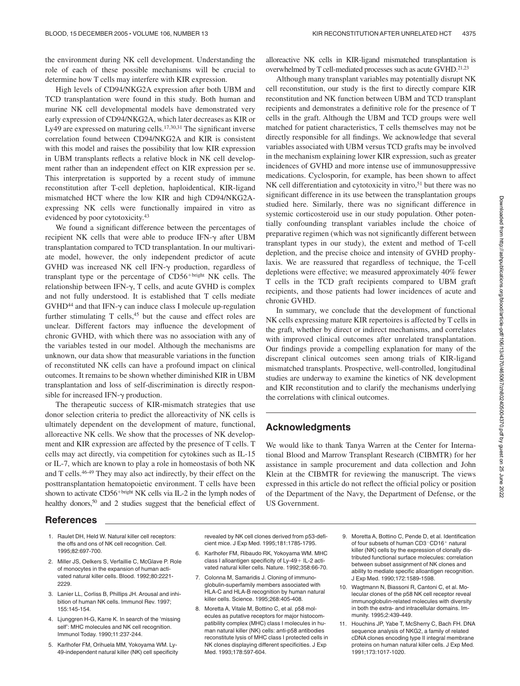the environment during NK cell development. Understanding the role of each of these possible mechanisms will be crucial to determine how T cells may interfere with KIR expression.

High levels of CD94/NKG2A expression after both UBM and TCD transplantation were found in this study. Both human and murine NK cell developmental models have demonstrated very early expression of CD94/NKG2A, which later decreases as KIR or Ly49 are expressed on maturing cells.<sup>17,30,31</sup> The significant inverse correlation found between CD94/NKG2A and KIR is consistent with this model and raises the possibility that low KIR expression in UBM transplants reflects a relative block in NK cell development rather than an independent effect on KIR expression per se. This interpretation is supported by a recent study of immune reconstitution after T-cell depletion, haploidentical, KIR-ligand mismatched HCT where the low KIR and high CD94/NKG2Aexpressing NK cells were functionally impaired in vitro as evidenced by poor cytotoxicity.43

We found a significant difference between the percentages of recipient NK cells that were able to produce  $IFN-\gamma$  after UBM transplantation compared to TCD transplantation. In our multivariate model, however, the only independent predictor of acute GVHD was increased NK cell IFN- $\gamma$  production, regardless of transplant type or the percentage of  $CD56^{+bright}$  NK cells. The relationship between IFN- $\gamma$ , T cells, and acute GVHD is complex and not fully understood. It is established that T cells mediate  $GVHD<sup>44</sup>$  and that IFN- $\gamma$  can induce class I molecule up-regulation further stimulating T cells,<sup>45</sup> but the cause and effect roles are unclear. Different factors may influence the development of chronic GVHD, with which there was no association with any of the variables tested in our model. Although the mechanisms are unknown, our data show that measurable variations in the function of reconstituted NK cells can have a profound impact on clinical outcomes. It remains to be shown whether diminished KIR in UBM transplantation and loss of self-discrimination is directly responsible for increased IFN- $\gamma$  production.

The therapeutic success of KIR-mismatch strategies that use donor selection criteria to predict the alloreactivity of NK cells is ultimately dependent on the development of mature, functional, alloreactive NK cells. We show that the processes of NK development and KIR expression are affected by the presence of T cells. T cells may act directly, via competition for cytokines such as IL-15 or IL-7, which are known to play a role in homeostasis of both NK and T cells.46-49 They may also act indirectly, by their effect on the posttransplantation hematopoietic environment. T cells have been shown to activate  $CD56^{+bright}$  NK cells via IL-2 in the lymph nodes of healthy donors,<sup>50</sup> and 2 studies suggest that the beneficial effect of alloreactive NK cells in KIR-ligand mismatched transplantation is overwhelmed by T cell-mediated processes such as acute GVHD.<sup>21,23</sup>

Although many transplant variables may potentially disrupt NK cell reconstitution, our study is the first to directly compare KIR reconstitution and NK function between UBM and TCD transplant recipients and demonstrates a definitive role for the presence of T cells in the graft. Although the UBM and TCD groups were well matched for patient characteristics, T cells themselves may not be directly responsible for all findings. We acknowledge that several variables associated with UBM versus TCD grafts may be involved in the mechanism explaining lower KIR expression, such as greater incidences of GVHD and more intense use of immunosuppressive medications. Cyclosporin, for example, has been shown to affect  $NK$  cell differentiation and cytotoxicity in vitro,<sup>51</sup> but there was no significant difference in its use between the transplantation groups studied here. Similarly, there was no significant difference in systemic corticosteroid use in our study population. Other potentially confounding transplant variables include the choice of preparative regimen (which was not significantly different between transplant types in our study), the extent and method of T-cell depletion, and the precise choice and intensity of GVHD prophylaxis. We are reassured that regardless of technique, the T-cell depletions were effective; we measured approximately 40% fewer T cells in the TCD graft recipients compared to UBM graft recipients, and those patients had lower incidences of acute and chronic GVHD.

In summary, we conclude that the development of functional NK cells expressing mature KIR repertoires is affected by T cells in the graft, whether by direct or indirect mechanisms, and correlates with improved clinical outcomes after unrelated transplantation. Our findings provide a compelling explanation for many of the discrepant clinical outcomes seen among trials of KIR-ligand mismatched transplants. Prospective, well-controlled, longitudinal studies are underway to examine the kinetics of NK development and KIR reconstitution and to clarify the mechanisms underlying the correlations with clinical outcomes.

# **Acknowledgments**

We would like to thank Tanya Warren at the Center for International Blood and Marrow Transplant Research (CIBMTR) for her assistance in sample procurement and data collection and John Klein at the CIBMTR for reviewing the manuscript. The views expressed in this article do not reflect the official policy or position of the Department of the Navy, the Department of Defense, or the US Government.

## **References**

- 1. Raulet DH, Held W. Natural killer cell receptors: the offs and ons of NK cell recognition. Cell. 1995;82:697-700.
- 2. Miller JS, Oelkers S, Verfaillie C, McGlave P. Role of monocytes in the expansion of human activated natural killer cells. Blood. 1992;80:2221- 2229.
- 3. Lanier LL, Corliss B, Phillips JH. Arousal and inhibition of human NK cells. Immunol Rev. 1997; 155:145-154.
- 4. Ljunggren H-G, Karre K. In search of the 'missing self': MHC molecules and NK cell recognition. Immunol Today. 1990;11:237-244.
- 5. Karlhofer FM, Orihuela MM, Yokoyama WM. Ly-49-independent natural killer (NK) cell specificity

revealed by NK cell clones derived from p53-deficient mice. J Exp Med. 1995;181:1785-1795.

- 6. Karlhofer FM, Ribaudo RK, Yokoyama WM. MHC class I alloantigen specificity of  $Ly-49+$  IL-2 activated natural killer cells. Nature. 1992;358:66-70.
- 7. Colonna M, Samaridis J. Cloning of immunoglobulin-superfamily members associated with HLA-C and HLA-B recognition by human natural killer cells. Science. 1995;268:405-408.
- 8. Moretta A, Vitale M, Bottino C, et al. p58 molecules as putative receptors for major histocompatibility complex (MHC) class I molecules in human natural killer (NK) cells: anti-p58 antibodies reconstitute lysis of MHC class I protected cells in NK clones displaying different specificities. J Exp Med. 1993;178:597-604.
- 9. Moretta A, Bottino C, Pende D, et al. Identification of four subsets of human CD3<sup>-</sup>CD16<sup>+</sup> natural killer (NK) cells by the expression of clonally distributed functional surface molecules: correlation between subset assignment of NK clones and ability to mediate specific alloantigen recognition. J Exp Med. 1990;172:1589-1598.
- 10. Wagtmann N, Biassoni R, Cantoni C, et al. Molecular clones of the p58 NK cell receptor reveal immunoglobulin-related molecules with diversity in both the extra- and intracellular domains. Immunity. 1995;2:439-449.
- 11. Houchins JP, Yabe T, McSherry C, Bach FH. DNA sequence analysis of NKG2, a family of related cDNA clones encoding type II integral membrane proteins on human natural killer cells. J Exp Med. 1991;173:1017-1020.